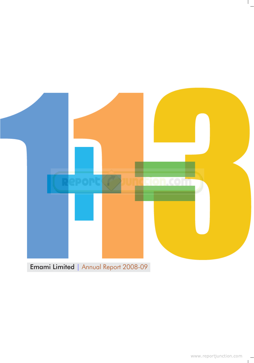

Emami Limited | Annual Report 2008-09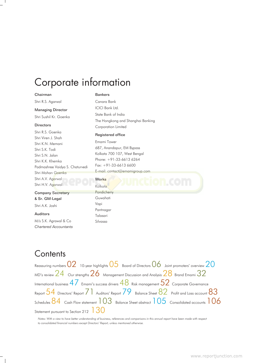# Corporate information

#### Chairman

Shri R.S. Agarwal

## Managing Director

Shri Sushil Kr. Goenka

### **Directors**

Shri R.S. Goenka Shri Viren J. Shah Shri K.N. Memani Shri S.K. Todi Shri S.N. Jalan Shri K.K. Khemka Padmashree Vaidya S. Chaturvedi Shri Mohan Goenka Shri A.V. Agarwal Shri H.V. Agarwal

### Company Secretary & Sr. GM-Legal

Shri A.K. Joshi

#### Auditors

M/s S.K. Agrawal & Co *Chartered Accountants*

## Bankers

Canara Bank ICICI Bank Ltd. State Bank of India The Hongkong and Shanghai Banking Corporation Limited

### Registered office

Emami Tower 687, Anandapur, EM Bypass Kolkata 700 107, West Bengal Phone: +91-33-6613 6264 Fax: +91-33-6613 6600 [E-mail: contact@emamigroup.com](http://www.reportjunction.com)

## **Works**

Kolkata **Pondicherry** Guwahati Vapi Pantnagar Talasari

Silvassa

# **Contents**

Reassuring numbers  $02$  10-year highlights  $05$  Board of Directors  $06$  Joint promoters' overview  $20$ MD's review  $24\;$  Our strengths  $26\;$  Management Discussion and Analysis  $28\;$  Brand Emami  $32\;$ International business  $47$  Emami's success drivers  $48$  Risk management  $52$  Corporate Governance Report  $54$  Directors' Report  $71$  Auditors' Report  $79$  Balance Sheet  $82$  Profit and Loss account  $83$ Schedules  $84\,$  Cash Flow statement  $103\,$  Balance Sheet abstract  $105\,$  Consolidated accounts  $106\,$ Statement pursuant to Section 212

*Notes: With a view to have better understanding of business, references and comparisons in this annual report have been made with respect to consolidated financial numbers except Directors' Report, unless mentioned otherwise.*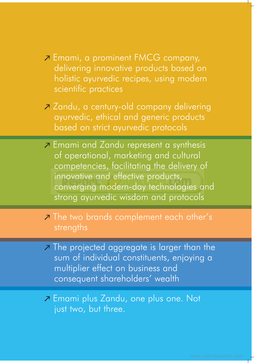- Emami, a prominent FMCG company, delivering innovative products based on holistic ayurvedic recipes, using modern scientific practices
- Zandu, a century-old company delivering ayurvedic, ethical and generic products based on strict ayurvedic protocols
- **Z** Emami and Zandu represent a synthesis of operational, marketing and cultural competencies, facilitating the delivery of innovative and effective products, [converging modern-day technologies a](http://www.reportjunction.com)nd strong ayurvedic wisdom and protocols
- **The two brands complement each other's** strengths
- **7** The projected aggregate is larger than the sum of individual constituents, enjoying a multiplier effect on business and consequent shareholders' wealth

**Z** Emami plus Zandu, one plus one. Not just two, but three.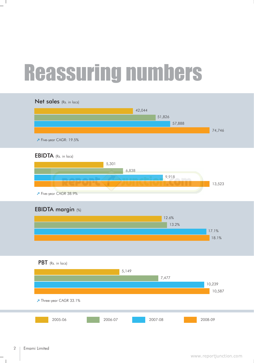# Reassuring numbers



 $\Box$ 

 $\mathbf{I}$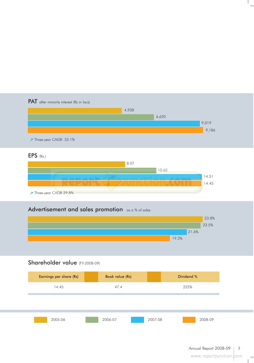

2005-06 2006-07 2007-08 2008-09

 $\mathbf{L}$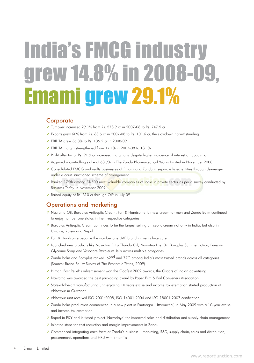# India's FMCG industry grew 14.8% in 2008-09, Emami grew 29.1%

## **Corporate**

- Turnover increased 29.1% from Rs. 578.9 cr in 2007-08 to Rs. 747.5 cr
- Exports grew 60% from Rs. 63.5 cr in 2007-08 to Rs. 101.6 cr, the slowdown notwithstanding
- EBIDTA grew 36.3% to Rs. 135.2 cr in 2008-09
- EBIDTA margin strengthened from 17.1% in 2007-08 to 18.1%
- Profit after tax at Rs. 91.9 cr increased marginally, despite higher incidence of interest on acquisition
- $\overline{Z}$  Acquired a controlling stake of 68.9% in The Zandu Pharmaceutical Works Limited in November 2008
- Consolidated FMCG and realty businesses of Emami and Zandu in separate listed entities through de-merger under a court sanctioned scheme of arrangement
- [Ranked 179th among BT-500 most valuable companies of India in private sector as per a survey](http://www.reportjunction.com) conducted by *Business Today* in November 2009
- Raised equity of Rs. 310 cr through QIP in July 09

## Operations and marketing

- Navratna Oil, Boroplus Antiseptic Cream, Fair & Handsome fairness cream for men and Zandu Balm continued to enjoy number one status in their respective categories
- $\bar{Z}$  Boroplus Antiseptic Cream continues to be the largest selling antiseptic cream not only in India, but also in Ukraine, Russia and Nepal
- Fair & Handsome became the number one UAE brand in men's face care
- 7 Launched new products like Navratna Extra Thanda Oil, Navratna Lite Oil, Boroplus Summer Lotion, Pureskin Glycerine Soap and Vasocare Petroleum Jelly across multiple categories
- $\overline{Z}$  Zandu balm and Boroplus ranked 62<sup>nd</sup> and 77<sup>th</sup> among India's most trusted brands across all categories (Source: Brand Equity Survey of *The Economic Times*, 2009)
- $\overline{P}$  Himani Fast Relief's advertisement won the Goafest 2009 awards, the Oscars of Indian advertising
- $\overline{Z}$  Navratna was awarded the best packaging award by Paper Film & Foil Converters Association
- State-of-the-art manufacturing unit enjoying 10 years excise and income tax exemption started production at Abhoypur in Guwahati
- Abhoypur unit received ISO 9001:2008, ISO 14001:2004 and ISO 18001:2007 certification
- $\overline{Z}$  Zandu balm production commenced in a new plant in Pantnagar (Uttaranchal) in May 2009 with a 10-year excise and income tax exemption
- Roped in E&Y and initiated project 'Navodaya' for improved sales and distribution and supply-chain management
- $\lambda$  Initiated steps for cost reduction and margin improvements in Zandu
- $\overline{Z}$  Commenced integrating each facet of Zandu's business marketing, R&D, supply chain, sales and distribution, procurement, operations and HRD with Emami's

 $\mathbf{I}$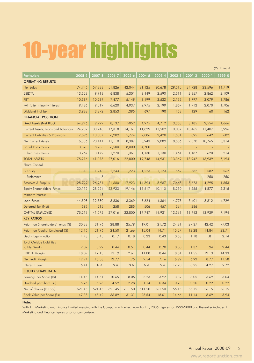# 10-year highlights

Particulars 2008-9 2007-8 2006-7 2005-6 2004-5 2003-4 2002-3 2001-2 2000-1 1999-0 OPERATING RESULTS Net Sales 74,746 57,888 51,826 42,044 31,125 30,678 29,515 24,728 23,596 14,719 EBIDTA 13,523 9,918 6,838 5,301 3,449 2,590 2,511 2,857 2,862 2,109 PBT 10,587 10,239 7,477 5,149 3,199 2,533 2,155 1,797 2,079 1,786 PAT (after minority interest) 9,186 9,019 6,620 4,937 2,975 2,199 1,867 1,712 2,070 1,706 Dividend incl Tax 3,983 3,272 2,853 1,395 697 190 158 129 160 162 FINANCIAL POSITION Fixed Assets (Net Block) 64,946 9,229 8,137 5052 4,975 4,712 3,353 3,185 2,554 1,666 Current Assets, Loans and Advances 24,232 33,748 17,318 14,161 11,829 11,509 10,087 10,465 11,407 5,996 Current Liabilities & Provisions 17,896 13,307 6,209 5,774 2,886 2,420 1,531 895 642 682 Net Current Assets 10,336 20,441 11,110 8,387 8,943 9,089 8,556 9,570 10,765 5,314 Liquid Investments 2,323 8,233 6,500 8,000 4,700 Other Investments 3,267 3,172 1,270 1,361 1,130 1,130 1,461 1,187 620 214 TOTAL ASSETS 75,216 41,075 27,016 22,800 19,748 14,931 13,369 13,942 13,939 7,194 Share Capital - Equity [1,313 1,243 1,243 1,223 1,223 1,123 562 582](http://www.reportjunction.com) 582 562 - Preference - 8 - 8 - - - - - - - - 250 250 Reserves & Surplus 28,799 26,981 21,680 17,923 14,394 8,987 7,668 5,673 4,295 1,653 Equity Shareholders' Funds 30,112 28,224 22,923 19,146 15,617 10,110 8,230 6,255 4,877 2,215 Minority Interest - 48 - - - - - - - - Loan Funds 44,508 12,580 3,836 3,369 3,624 4,364 4,775 7,401 8,812 4,729 Deferred Tax (Net) **596** 215 258 285 506 457 364 286 CAPITAL EMPLOYED 75,216 41,075 27,016 22,800 19,747 14,931 13,369 13,942 13,939 7,194 KEY RATIOS Return on Shareholders' Funds (%) 30.38 31.96 28.88 25.79 19.01 21.72 24.81 27.37 42.42 77.03 Return on Capital Employed (%) 12.16 21.96 24.50 21.66 15.04 14.71 15.27 12.28 14.84 23.71 Debt - Equity Ratio 1.48 0.45 0.17 0.18 0.23 0.43 0.58 1.18 1.81 2.14 Total Outside Liabilities to Net Worth 2.07 0.92 0.44 0.51 0.44 0.70 0.80 1.37 1.94 2.44 EBIDTA Margin 18.09 17.13 13.19 12.61 11.08 8.44 8.51 11.55 12.13 14.33 Net Profit Margin 12.24 15.58 12.77 11.75 9.54 7.16 6.92 6.92 8.77 11.58 Interest Cover 6.44 N.A. N.A. N.A. N.A. N.A. 17.20 3.25 4.27 9.72 EQUITY SHARE DATA Earnings per Share (Rs) 14.45 | 14.45 | 14.51 | 10.65 | 8.06 | 5.23 | 3.92 | 3.32 | 3.05 | 3.69 | 3.04 Dividend per Share (Rs)  $\begin{array}{|c|c|c|c|c|c|c|c|c|} \hline \end{array}$  5.26 5.26 4.59 2.28 1.14 0.34 0.28 0.20 0.20 0.22 0.22 No. of Shares (In Lacs) | 621.45 | 621.45 | 621.45 | 611.50 | 611.50 | 561.50 | 56.15 | 56.15 | 56.15 | 56.15 Book Value per Share (Rs) 47.38 45.42 36.89 31.31 25.54 18.01 14.66 11.14 8.69 3.94

### Note:

With J.B. Marketing and Finance Limited merging with the Company with effect from April 1, 2006, figures for 1999-2000 and thereafter includes J.B. Marketing and Finance figures also for comparison.

*(Rs. in lacs)*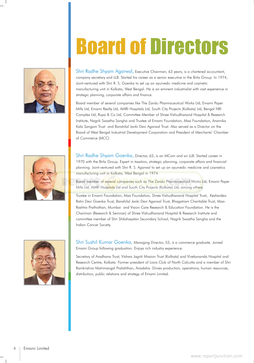# Board of Directors



Shri Radhe Shyam Agarwal, Executive Chairman, 63 years, is a chartered accountant, company secretary and LLB. Started his career as a senior executive in the Birla Group. In 1974, Joint-ventured with Shri R. S. Goenka to set up an ayurvedic medicine and cosmetic manufacturing unit in Kolkata, West Bengal. He is an eminent industrialist with vast experience in strategic planning, corporate affairs and finance.

Board member of several companies like The Zandu Pharmaceutical Works Ltd, Emami Paper Mills Ltd, Emami Realty Ltd, AMRI Hospitals Ltd, South City Projects (Kolkata) Ltd, Bengal NRI Complex Ltd, Rupa & Co Ltd, Committee Member of Shree Vishudhanand Hospital & Research Institute, Nagrik Swastha Sangha and Trustee of Emami Foundation, Maa Foundation, Anamika Kala Sangam Trust and Banshilal Janki Devi Agarwal Trust. Also served as a Director on the Board of West Bengal Industrial Development Corporation and President of Merchants' Chamber of Commerce (MCC)



Shri Radhe Shyam Goenka, Director, 62, is an MCom and an LLB. Started career in 1970 with the Birla Group. Expert in taxation, strategic planning, corporate affairs and financial planning. Joint-ventured with Shri R. S. Agarwal to set up an ayurvedic medicine and cosmetics manufacturing unit in Kolkata, West Bengal in 1974.

[Board member of several companies such as The Zandu Pharmaceutical Works L](http://www.reportjunction.com)td, Emami Paper Mills Ltd, AMRI Hospitals Ltd and South City Projects (Kolkata) Ltd, among others.

Trustee in Emami Foundation, Maa Foundation, Shree Vishudhanand Hospital Trust, Keshardeo Ratni Devi Goenka Trust, Banshilal Janki Devi Agarwal Trust, Bhagatram Charitable Trust, Maa-Rashtra Prathisthan, Mumbai and Vision Care Research & Education Foundation. He is the Chairman (Research & Seminar) of Shree Vishudhanand Hospital & Research Institute and committee member of Shri Shikshayatan Secondary School, Nagrik Swastha Sangha and the Indian Cancer Society.



Shri Sushil Kumar Goenka, Managing Director, 53, is a commerce graduate. Joined Emami Group following graduation. Enjoys rich industry experience.

Secretary of Aradhana Trust, Vishwa Jagriti Mission Trust (Kolkata) and Vivekananda Hospital and Research Centre, Kolkata. Former president of Lions Club of North Calcutta and a member of Shri Ramkrishna Matrimangal Pratishthan, Ariadaha. Drives production, operations, human resources, distribution, public relations and strategy of Emami Limited.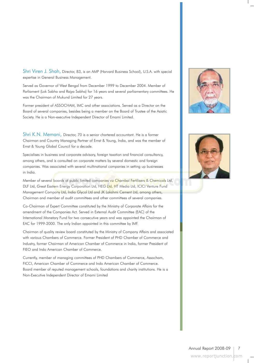Shri Viren J. Shah, Director, 83, is an AMP (Harvard Business School), U.S.A. with special expertise in General Business Management.

Served as Governor of West Bengal from December 1999 to December 2004. Member of Parliament (Lok Sabha and Rajya Sabha) for 16 years and several parliamentary committees. He was the Chairman of Mukund Limited for 27 years.

Former president of ASSOCHAM, IMC and other associations. Served as a Director on the Board of several companies, besides being a member on the Board of Trustee of the Asiatic Society. He is a Non-executive Independent Director of Emami Limited.

Shri K.N. Memani, Director, 70 is a senior chartered accountant. He is a former Chairman and Country Managing Partner of Ernst & Young, India, and was the member of Ernst & Young Global Council for a decade.

Specialises in business and corporate advisory, foreign taxation and financial consultancy, among others, and is consulted on corporate matters by several domestic and foreign companies. Was associated with several multinational companies in setting up businesses in India.

Member of sever[al boards of public limited companies viz Chambal Fertilisers & Chemicals Ltd,](http://www.reportjunction.com) DLF Ltd, Great Eastern Energy Corporation Ltd, HEG Ltd, HT Media Ltd, ICICI Venture Fund Management Company Ltd, India Glycol Ltd and JK Lakshmi Cement Ltd, among others, Chairman and member of audit committees and other committees of several companies.

Co-Chairman of Expert Committee constituted by the Ministry of Corporate Affairs for the amendment of the Companies Act. Served in External Audit Committee (EAC) of the International Monetary Fund for two consecutive years and was appointed the Chairman of EAC for 1999-2000. The only Indian appointed in this committee by IMF.

Chairman of quality review board constituted by the Ministry of Company Affairs and associated with various Chambers of Commerce. Former President of PHD Chamber of Commerce and Industry, former Chairman of American Chamber of Commerce in India, former President of FIEO and Indo American Chamber of Commerce.

Currently, member of managing committees of PHD Chambers of Commerce, Assocham, FICCI, American Chamber of Commerce and Indo American Chamber of Commerce. Board member of reputed management schools, foundations and charity institutions. He is a Non-Executive Independent Director of Emami Limited